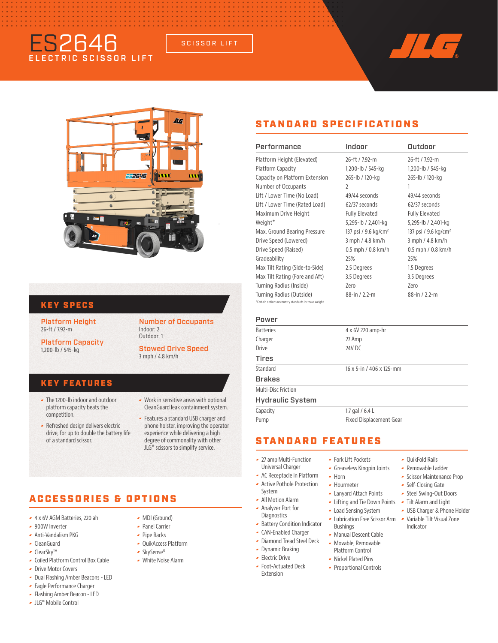# ES2646 ECTRIC SCISSOR LIFT

SCISSOR LIFT



#### KEY SPECS

Platform Height 26-ft / 7.92-m

Platform Capacity 1,200-lb / 545-kg

Number of Occupants Indoor: 2 Outdoor: 1

Stowed Drive Speed 3 mph / 4.8 km/h

#### KEY FEATURES

 The 1200-lb indoor and outdoor platform capacity beats the competition.

Refreshed design delivers electric

of a standard scissor.

- **Work in sensitive areas with optional** CleanGuard leak containment system.
- drive, for up to double the battery life Features a standard USB charger and phone holster, improving the operator experience while delivering a high degree of commonality with other JLG® scissors to simplify service.

## ACCESSORIES & OPTIONS

- 4 x 6V AGM Batteries, 220 ah
- 900W Inverter
- Anti-Vandalism PKG
- CleanGuard
- ClearSky™
- Coiled Platform Control Box Cable
- **Drive Motor Covers**
- Dual Flashing Amber Beacons LED
- **-** Eagle Performance Charger
- Flashing Amber Beacon LED
- JLG® Mobile Control
- MDI (Ground)
- Panel Carrier
- ► Pipe Racks
- QuikAccess Platform
- SkySense®
- White Noise Alarm
	-

# STANDARD SPECIFICATIONS

| Performance                                                                       | Indoor                           | Outdoor                          |
|-----------------------------------------------------------------------------------|----------------------------------|----------------------------------|
| Platform Height (Elevated)                                                        | 26-ft / 7.92-m                   | 26-ft / 792-m                    |
| Platform Capacity                                                                 | 1,200-lb / 545-kg                | 1,200-lb / 545-kg                |
| Capacity on Platform Extension                                                    | 265-lb / 120-kg                  | 265-lb / 120-kg                  |
| Number of Occupants                                                               | $\overline{2}$                   | 1                                |
| Lift / Lower Time (No Load)                                                       | $49/44$ seconds                  | 49/44 seconds                    |
| Lift / Lower Time (Rated Load)                                                    | $62/37$ seconds                  | $62/37$ seconds                  |
| Maximum Drive Height                                                              | <b>Fully Elevated</b>            | <b>Fully Elevated</b>            |
| Weight*                                                                           | 5,295-lb / 2,401-kg              | 5,295-lb / 2,401-kg              |
| Max. Ground Bearing Pressure                                                      | 137 psi / 9.6 kg/cm <sup>2</sup> | 137 psi / 9.6 kg/cm <sup>2</sup> |
| Drive Speed (Lowered)                                                             | 3 mph / 4.8 km/h                 | 3 mph / 4.8 km/h                 |
| Drive Speed (Raised)                                                              | $0.5$ mph $/ 0.8$ km/h           | $0.5$ mph $/ 0.8$ km/h           |
| Gradeability                                                                      | 25%                              | 25%                              |
| Max Tilt Rating (Side-to-Side)                                                    | 2.5 Degrees                      | 1.5 Degrees                      |
| Max Tilt Rating (Fore and Aft)                                                    | 3.5 Degrees                      | 3.5 Degrees                      |
| Turning Radius (Inside)                                                           | 7ero                             | 7ero                             |
| Turning Radius (Outside)<br>*Certain options or country standards increase weight | 88-in $/2.2$ -m                  | 88-in $/2.2$ -m                  |
| Power                                                                             |                                  |                                  |

| .                       |                          |
|-------------------------|--------------------------|
| <b>Batteries</b>        | 4 x 6V 220 amp-hr        |
| Charger                 | 27 Amp                   |
| Drive                   | 24V DC                   |
| Tires                   |                          |
| Standard                | 16 x 5-in / 406 x 125-mm |
| Brakes                  |                          |
| Multi-Disc Friction     |                          |
| <b>Hydraulic System</b> |                          |
| Capacity                | 1.7 gal $/$ 6.4 L        |
| Pump                    | Fixed Displacement Gear  |
|                         |                          |

### STANDARD FEATURES

- 27 amp Multi-Function
- Universal Charger
- AC Receptacle in Platform
- Active Pothole Protection System
- All Motion Alarm
- Analyzer Port for **Diagnostics**
- **-** Battery Condition Indicator
- CAN-Enabled Charger
	- Diamond Tread Steel Deck
	- Dynamic Braking
	-
	- Extension
- QuikFold Rails
- 
- 
- Self-Closing Gate
- Steel Swing-Out Doors
- Tilt Alarm and Light

Indicator

- USB Charger & Phone Holder
- Lubrication Free Scissor Arm Bushings
- Manual Descent Cable
- Movable, Removable Platform Control

 Fork Lift Pockets Greaseless Kingpin Joints

 $-$  Horn Hourmeter Lanyard Attach Points Lifting and Tie Down Points Load Sensing System

- Nickel Plated Pins
- Proportional Controls
- Removable Ladder
- **-** Scissor Maintenance Prop
- 
- 
- 
- Variable Tilt Visual Zone
- 
- 
- **Electric Drive**
- Foot-Actuated Deck
- -
- 
- 
- 
-